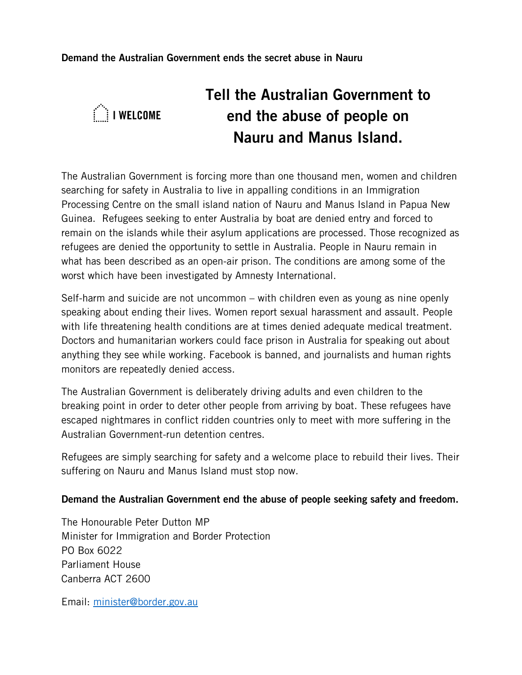## **Demand the Australian Government ends the secret abuse in Nauru**



## **Tell the Australian Government to end the abuse of people on Nauru and Manus Island.**

The Australian Government is forcing more than one thousand men, women and children searching for safety in Australia to live in appalling conditions in an Immigration Processing Centre on the small island nation of Nauru and Manus Island in Papua New Guinea. Refugees seeking to enter Australia by boat are denied entry and forced to remain on the islands while their asylum applications are processed. Those recognized as refugees are denied the opportunity to settle in Australia. People in Nauru remain in what has been described as an open-air prison. The conditions are among some of the worst which have been investigated by Amnesty International.

Self-harm and suicide are not uncommon – with children even as young as nine openly speaking about ending their lives. Women report sexual harassment and assault. People with life threatening health conditions are at times denied adequate medical treatment. Doctors and humanitarian workers could face prison in Australia for speaking out about anything they see while working. Facebook is banned, and journalists and human rights monitors are repeatedly denied access.

The Australian Government is deliberately driving adults and even children to the breaking point in order to deter other people from arriving by boat. These refugees have escaped nightmares in conflict ridden countries only to meet with more suffering in the Australian Government-run detention centres.

Refugees are simply searching for safety and a welcome place to rebuild their lives. Their suffering on Nauru and Manus Island must stop now.

## **Demand the Australian Government end the abuse of people seeking safety and freedom.**

The Honourable Peter Dutton MP Minister for Immigration and Border Protection PO Box 6022 Parliament House Canberra ACT 2600

Email: [minister@border.gov.au](mailto:minister@border.gov.au)